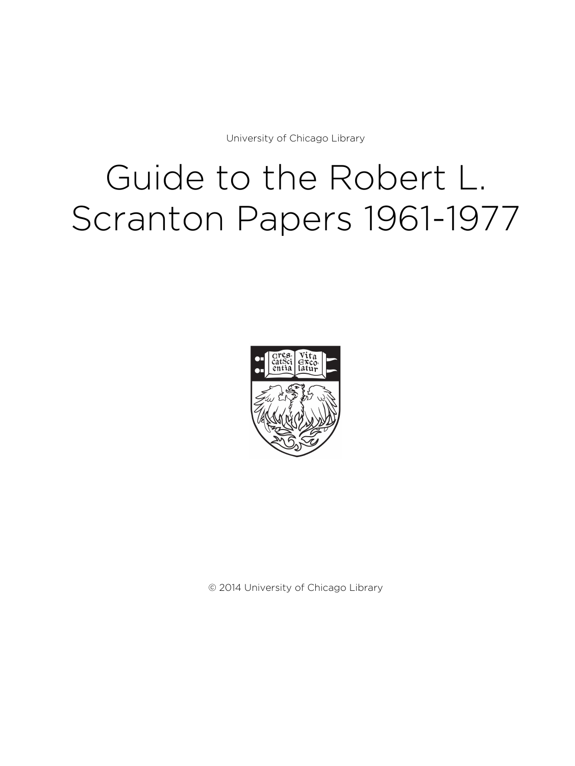University of Chicago Library

# Guide to the Robert L. Scranton Papers 1961-1977



© 2014 University of Chicago Library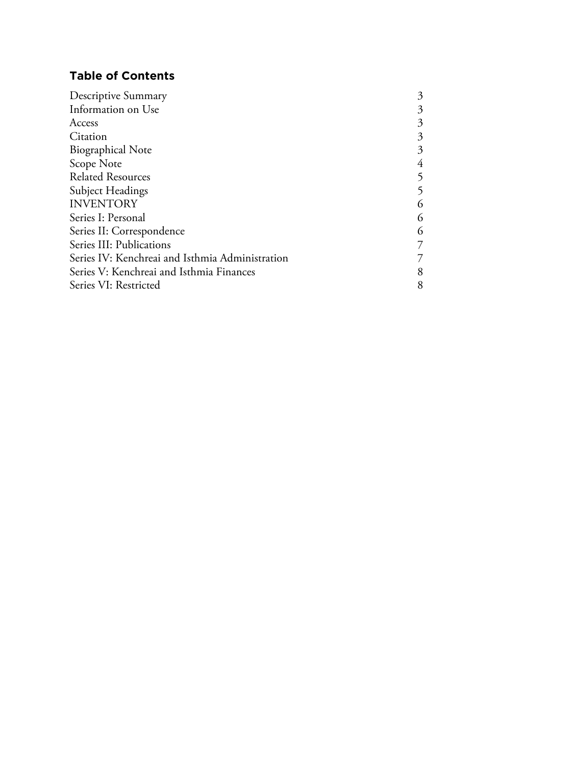# **Table of Contents**

| Descriptive Summary                             | 3 |
|-------------------------------------------------|---|
| Information on Use                              | 3 |
| Access                                          | 3 |
| Citation                                        | 3 |
| <b>Biographical Note</b>                        | 3 |
| Scope Note                                      | 4 |
| <b>Related Resources</b>                        | 5 |
| Subject Headings                                |   |
| <b>INVENTORY</b>                                | 6 |
| Series I: Personal                              | 6 |
| Series II: Correspondence                       | 6 |
| Series III: Publications                        |   |
| Series IV: Kenchreai and Isthmia Administration |   |
| Series V: Kenchreai and Isthmia Finances        | 8 |
| Series VI: Restricted                           | 8 |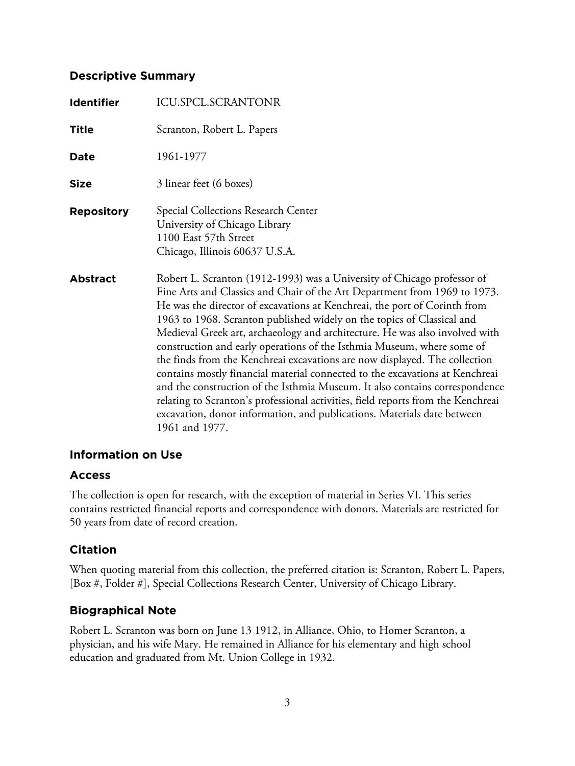## **Descriptive Summary**

| <b>Identifier</b> | <b>ICU.SPCL.SCRANTONR</b>                                                                                                                                                                                                                                                                                                                                                                                                                                                                                                                                                                                                                                                                                                                                                                                                                                                                          |
|-------------------|----------------------------------------------------------------------------------------------------------------------------------------------------------------------------------------------------------------------------------------------------------------------------------------------------------------------------------------------------------------------------------------------------------------------------------------------------------------------------------------------------------------------------------------------------------------------------------------------------------------------------------------------------------------------------------------------------------------------------------------------------------------------------------------------------------------------------------------------------------------------------------------------------|
| <b>Title</b>      | Scranton, Robert L. Papers                                                                                                                                                                                                                                                                                                                                                                                                                                                                                                                                                                                                                                                                                                                                                                                                                                                                         |
| <b>Date</b>       | 1961-1977                                                                                                                                                                                                                                                                                                                                                                                                                                                                                                                                                                                                                                                                                                                                                                                                                                                                                          |
| <b>Size</b>       | 3 linear feet (6 boxes)                                                                                                                                                                                                                                                                                                                                                                                                                                                                                                                                                                                                                                                                                                                                                                                                                                                                            |
| <b>Repository</b> | Special Collections Research Center<br>University of Chicago Library<br>1100 East 57th Street<br>Chicago, Illinois 60637 U.S.A.                                                                                                                                                                                                                                                                                                                                                                                                                                                                                                                                                                                                                                                                                                                                                                    |
| <b>Abstract</b>   | Robert L. Scranton (1912-1993) was a University of Chicago professor of<br>Fine Arts and Classics and Chair of the Art Department from 1969 to 1973.<br>He was the director of excavations at Kenchreai, the port of Corinth from<br>1963 to 1968. Scranton published widely on the topics of Classical and<br>Medieval Greek art, archaeology and architecture. He was also involved with<br>construction and early operations of the Isthmia Museum, where some of<br>the finds from the Kenchreai excavations are now displayed. The collection<br>contains mostly financial material connected to the excavations at Kenchreai<br>and the construction of the Isthmia Museum. It also contains correspondence<br>relating to Scranton's professional activities, field reports from the Kenchreai<br>excavation, donor information, and publications. Materials date between<br>1961 and 1977. |

## **Information on Use**

## **Access**

The collection is open for research, with the exception of material in Series VI. This series contains restricted financial reports and correspondence with donors. Materials are restricted for 50 years from date of record creation.

# **Citation**

When quoting material from this collection, the preferred citation is: Scranton, Robert L. Papers, [Box #, Folder #], Special Collections Research Center, University of Chicago Library.

# **Biographical Note**

Robert L. Scranton was born on June 13 1912, in Alliance, Ohio, to Homer Scranton, a physician, and his wife Mary. He remained in Alliance for his elementary and high school education and graduated from Mt. Union College in 1932.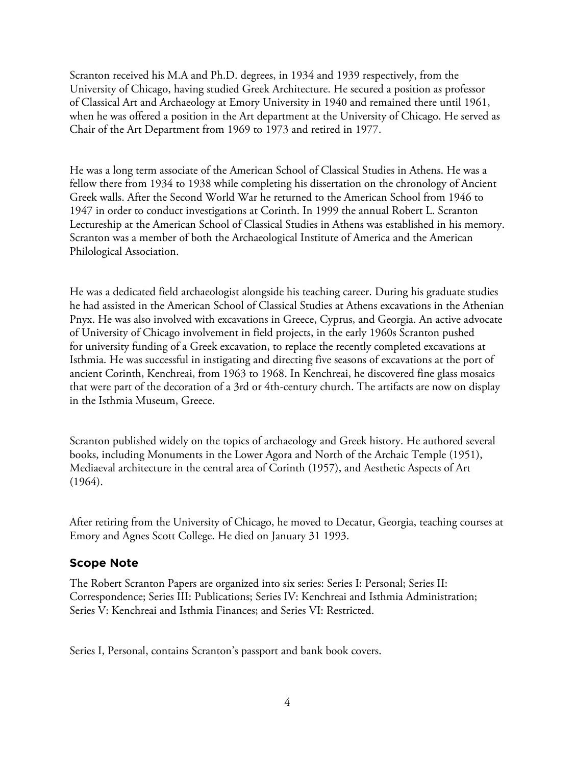Scranton received his M.A and Ph.D. degrees, in 1934 and 1939 respectively, from the University of Chicago, having studied Greek Architecture. He secured a position as professor of Classical Art and Archaeology at Emory University in 1940 and remained there until 1961, when he was offered a position in the Art department at the University of Chicago. He served as Chair of the Art Department from 1969 to 1973 and retired in 1977.

He was a long term associate of the American School of Classical Studies in Athens. He was a fellow there from 1934 to 1938 while completing his dissertation on the chronology of Ancient Greek walls. After the Second World War he returned to the American School from 1946 to 1947 in order to conduct investigations at Corinth. In 1999 the annual Robert L. Scranton Lectureship at the American School of Classical Studies in Athens was established in his memory. Scranton was a member of both the Archaeological Institute of America and the American Philological Association.

He was a dedicated field archaeologist alongside his teaching career. During his graduate studies he had assisted in the American School of Classical Studies at Athens excavations in the Athenian Pnyx. He was also involved with excavations in Greece, Cyprus, and Georgia. An active advocate of University of Chicago involvement in field projects, in the early 1960s Scranton pushed for university funding of a Greek excavation, to replace the recently completed excavations at Isthmia. He was successful in instigating and directing five seasons of excavations at the port of ancient Corinth, Kenchreai, from 1963 to 1968. In Kenchreai, he discovered fine glass mosaics that were part of the decoration of a 3rd or 4th-century church. The artifacts are now on display in the Isthmia Museum, Greece.

Scranton published widely on the topics of archaeology and Greek history. He authored several books, including Monuments in the Lower Agora and North of the Archaic Temple (1951), Mediaeval architecture in the central area of Corinth (1957), and Aesthetic Aspects of Art (1964).

After retiring from the University of Chicago, he moved to Decatur, Georgia, teaching courses at Emory and Agnes Scott College. He died on January 31 1993.

#### **Scope Note**

The Robert Scranton Papers are organized into six series: Series I: Personal; Series II: Correspondence; Series III: Publications; Series IV: Kenchreai and Isthmia Administration; Series V: Kenchreai and Isthmia Finances; and Series VI: Restricted.

Series I, Personal, contains Scranton's passport and bank book covers.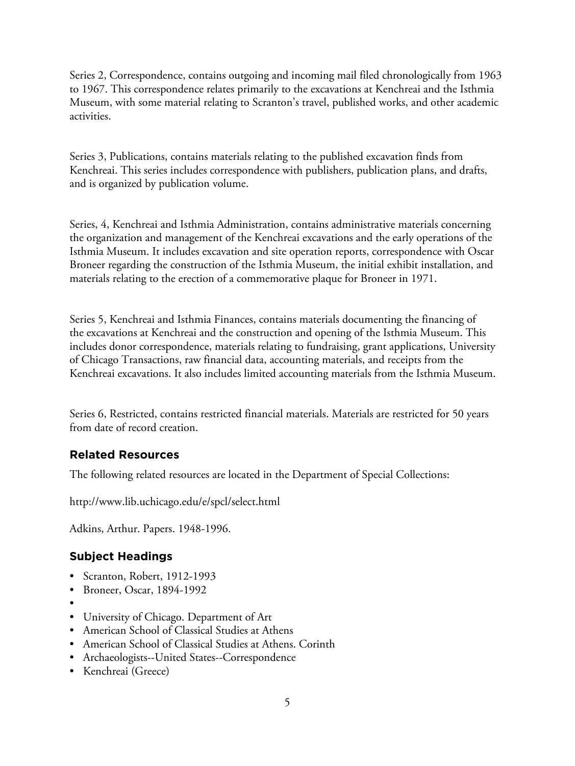Series 2, Correspondence, contains outgoing and incoming mail filed chronologically from 1963 to 1967. This correspondence relates primarily to the excavations at Kenchreai and the Isthmia Museum, with some material relating to Scranton's travel, published works, and other academic activities.

Series 3, Publications, contains materials relating to the published excavation finds from Kenchreai. This series includes correspondence with publishers, publication plans, and drafts, and is organized by publication volume.

Series, 4, Kenchreai and Isthmia Administration, contains administrative materials concerning the organization and management of the Kenchreai excavations and the early operations of the Isthmia Museum. It includes excavation and site operation reports, correspondence with Oscar Broneer regarding the construction of the Isthmia Museum, the initial exhibit installation, and materials relating to the erection of a commemorative plaque for Broneer in 1971.

Series 5, Kenchreai and Isthmia Finances, contains materials documenting the financing of the excavations at Kenchreai and the construction and opening of the Isthmia Museum. This includes donor correspondence, materials relating to fundraising, grant applications, University of Chicago Transactions, raw financial data, accounting materials, and receipts from the Kenchreai excavations. It also includes limited accounting materials from the Isthmia Museum.

Series 6, Restricted, contains restricted financial materials. Materials are restricted for 50 years from date of record creation.

# **Related Resources**

The following related resources are located in the Department of Special Collections:

http://www.lib.uchicago.edu/e/spcl/select.html

Adkins, Arthur. Papers. 1948-1996.

## **Subject Headings**

- Scranton, Robert, 1912-1993
- Broneer, Oscar, 1894-1992
- •
- University of Chicago. Department of Art
- American School of Classical Studies at Athens
- American School of Classical Studies at Athens. Corinth
- Archaeologists--United States--Correspondence
- Kenchreai (Greece)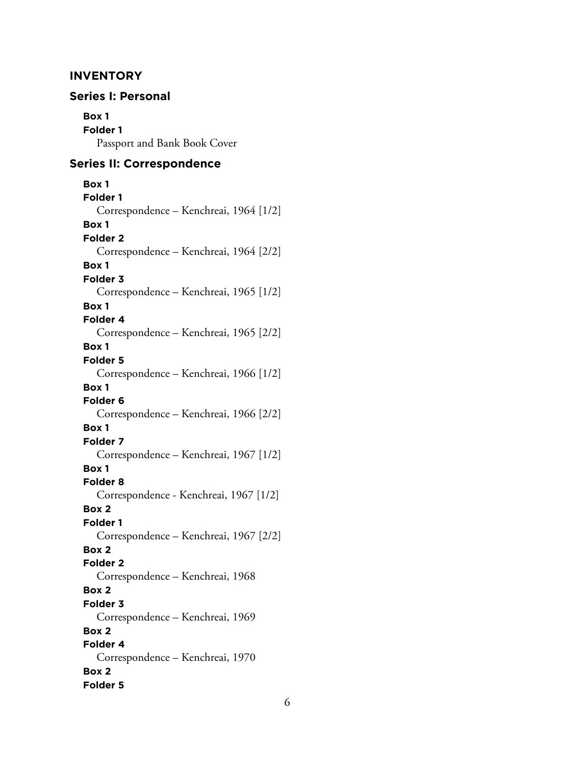### **INVENTORY**

# **Series I: Personal Box 1 Folder 1** Passport and Bank Book Cover **Series II: Correspondence Box 1**

**Folder 1** Correspondence – Kenchreai, 1964 [1/2] **Box 1 Folder 2** Correspondence – Kenchreai, 1964 [2/2] **Box 1 Folder 3** Correspondence – Kenchreai, 1965 [1/2] **Box 1 Folder 4** Correspondence – Kenchreai, 1965 [2/2] **Box 1 Folder 5** Correspondence – Kenchreai, 1966 [1/2] **Box 1 Folder 6** Correspondence – Kenchreai, 1966 [2/2] **Box 1 Folder 7** Correspondence – Kenchreai, 1967 [1/2] **Box 1 Folder 8** Correspondence - Kenchreai, 1967 [1/2] **Box 2 Folder 1** Correspondence – Kenchreai, 1967 [2/2] **Box 2 Folder 2** Correspondence – Kenchreai, 1968 **Box 2 Folder 3** Correspondence – Kenchreai, 1969 **Box 2 Folder 4** Correspondence – Kenchreai, 1970 **Box 2 Folder 5**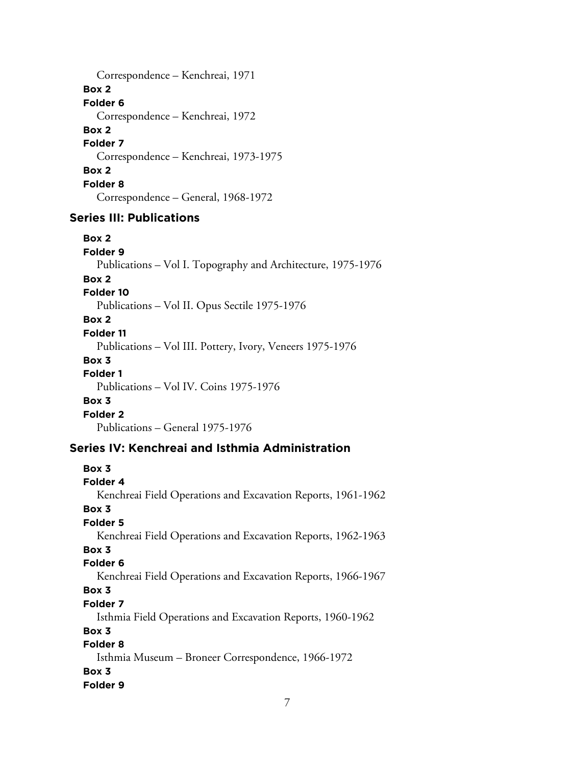Correspondence – Kenchreai, 1971 **Box 2 Folder 6** Correspondence – Kenchreai, 1972 **Box 2 Folder 7** Correspondence – Kenchreai, 1973-1975 **Box 2 Folder 8** Correspondence – General, 1968-1972

## **Series III: Publications**

**Box 2 Folder 9** Publications – Vol I. Topography and Architecture, 1975-1976 **Box 2 Folder 10** Publications – Vol II. Opus Sectile 1975-1976 **Box 2 Folder 11** Publications – Vol III. Pottery, Ivory, Veneers 1975-1976 **Box 3 Folder 1** Publications – Vol IV. Coins 1975-1976 **Box 3 Folder 2** Publications – General 1975-1976 **Series IV: Kenchreai and Isthmia Administration Box 3 Folder 4** Kenchreai Field Operations and Excavation Reports, 1961-1962 **Box 3 Folder 5**

# Kenchreai Field Operations and Excavation Reports, 1962-1963

## **Box 3**

## **Folder 6**

Kenchreai Field Operations and Excavation Reports, 1966-1967

## **Box 3**

## **Folder 7**

Isthmia Field Operations and Excavation Reports, 1960-1962

### **Box 3**

## **Folder 8**

Isthmia Museum – Broneer Correspondence, 1966-1972 **Box 3 Folder 9**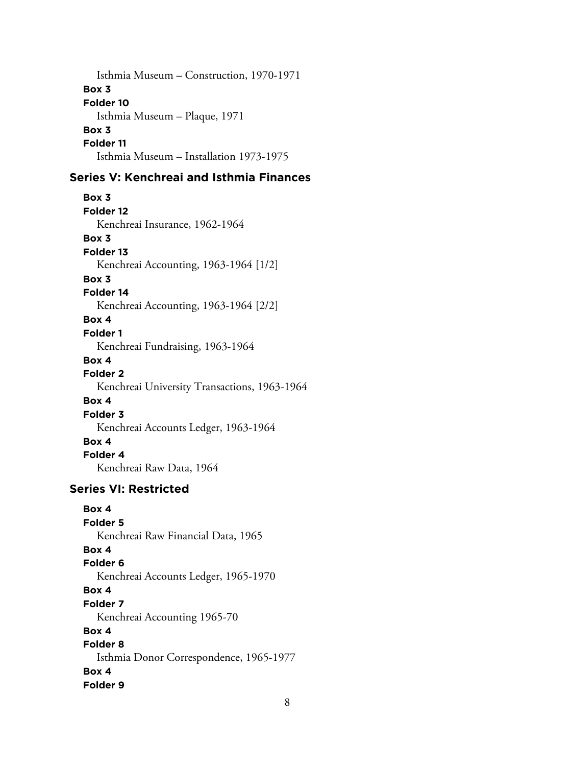Isthmia Museum – Construction, 1970-1971 **Box 3 Folder 10** Isthmia Museum – Plaque, 1971 **Box 3 Folder 11** Isthmia Museum – Installation 1973-1975

## **Series V: Kenchreai and Isthmia Finances**

**Box 3 Folder 12** Kenchreai Insurance, 1962-1964 **Box 3 Folder 13** Kenchreai Accounting, 1963-1964 [1/2] **Box 3 Folder 14** Kenchreai Accounting, 1963-1964 [2/2] **Box 4 Folder 1** Kenchreai Fundraising, 1963-1964 **Box 4 Folder 2** Kenchreai University Transactions, 1963-1964 **Box 4 Folder 3** Kenchreai Accounts Ledger, 1963-1964 **Box 4 Folder 4** Kenchreai Raw Data, 1964 **Series VI: Restricted**

**Box 4 Folder 5** Kenchreai Raw Financial Data, 1965 **Box 4 Folder 6** Kenchreai Accounts Ledger, 1965-1970 **Box 4 Folder 7** Kenchreai Accounting 1965-70 **Box 4 Folder 8** Isthmia Donor Correspondence, 1965-1977 **Box 4 Folder 9**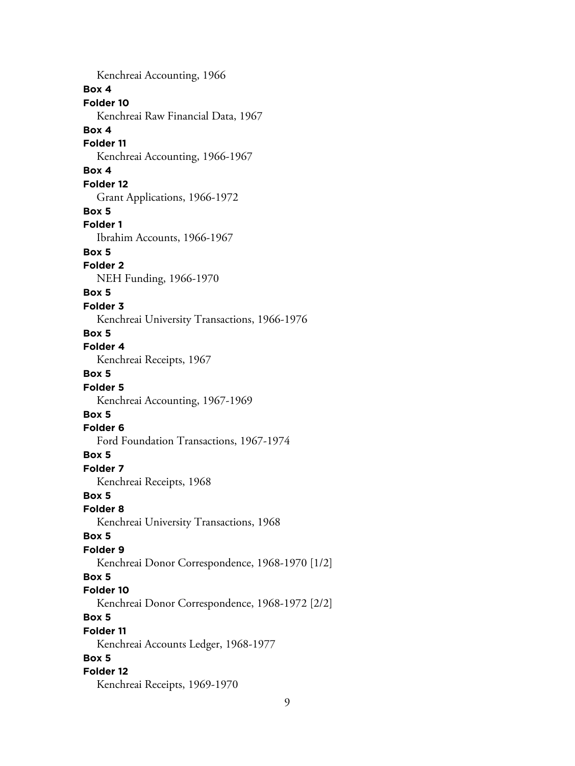Kenchreai Accounting, 1966 **Box 4 Folder 10** Kenchreai Raw Financial Data, 1967 **Box 4 Folder 11** Kenchreai Accounting, 1966-1967 **Box 4 Folder 12** Grant Applications, 1966-1972 **Box 5 Folder 1** Ibrahim Accounts, 1966-1967 **Box 5 Folder 2** NEH Funding, 1966-1970 **Box 5 Folder 3** Kenchreai University Transactions, 1966-1976 **Box 5 Folder 4** Kenchreai Receipts, 1967 **Box 5 Folder 5** Kenchreai Accounting, 1967-1969 **Box 5 Folder 6** Ford Foundation Transactions, 1967-1974 **Box 5 Folder 7** Kenchreai Receipts, 1968 **Box 5 Folder 8** Kenchreai University Transactions, 1968 **Box 5 Folder 9** Kenchreai Donor Correspondence, 1968-1970 [1/2] **Box 5 Folder 10** Kenchreai Donor Correspondence, 1968-1972 [2/2] **Box 5 Folder 11** Kenchreai Accounts Ledger, 1968-1977 **Box 5 Folder 12** Kenchreai Receipts, 1969-1970